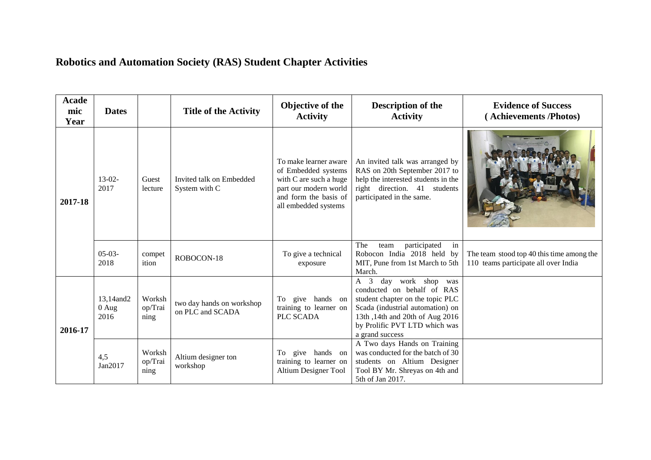## **Robotics and Automation Society (RAS) Student Chapter Activities**

| Acade<br>mic<br>Year | <b>Dates</b>                   |                           | <b>Title of the Activity</b>                  | Objective of the<br><b>Activity</b>                                                                                                              | <b>Description of the</b><br><b>Activity</b>                                                                                                                                                                                          | <b>Evidence of Success</b><br>(Achievements/Photos)                               |
|----------------------|--------------------------------|---------------------------|-----------------------------------------------|--------------------------------------------------------------------------------------------------------------------------------------------------|---------------------------------------------------------------------------------------------------------------------------------------------------------------------------------------------------------------------------------------|-----------------------------------------------------------------------------------|
| 2017-18              | $13-02-$<br>2017               | Guest<br>lecture          | Invited talk on Embedded<br>System with C     | To make learner aware<br>of Embedded systems<br>with C are such a huge<br>part our modern world<br>and form the basis of<br>all embedded systems | An invited talk was arranged by<br>RAS on 20th September 2017 to<br>help the interested students in the<br>right direction. 41 students<br>participated in the same.                                                                  |                                                                                   |
|                      | $05-03-$<br>2018               | compet<br>ition           | ROBOCON-18                                    | To give a technical<br>exposure                                                                                                                  | participated<br>in<br>The<br>team<br>Robocon India 2018 held by<br>MIT, Pune from 1st March to 5th<br>March.                                                                                                                          | The team stood top 40 this time among the<br>110 teams participate all over India |
| 2016-17              | 13,14 and 2<br>$0$ Aug<br>2016 | Worksh<br>op/Trai<br>ning | two day hands on workshop<br>on PLC and SCADA | To give hands<br>on<br>training to learner on<br>PLC SCADA                                                                                       | day work shop was<br>$\overline{3}$<br>A<br>conducted on behalf of RAS<br>student chapter on the topic PLC<br>Scada (industrial automation) on<br>13th, 14th and 20th of Aug 2016<br>by Prolific PVT LTD which was<br>a grand success |                                                                                   |
|                      | 4,5<br>Jan2017                 | Worksh<br>op/Trai<br>ning | Altium designer ton<br>workshop               | To give hands on<br>training to learner on<br><b>Altium Designer Tool</b>                                                                        | A Two days Hands on Training<br>was conducted for the batch of 30<br>students on Altium Designer<br>Tool BY Mr. Shreyas on 4th and<br>5th of Jan 2017.                                                                                |                                                                                   |